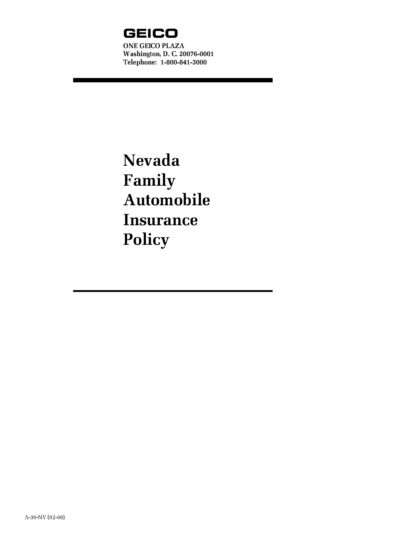

<u> 1970 - Jan Barat, politik a</u>

Nevada Family Automobile **Insurance** Policy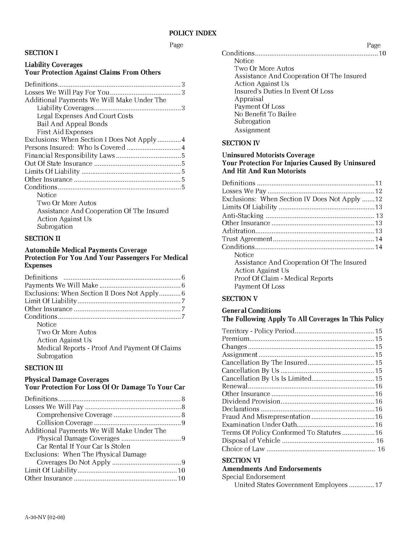#### Page

#### SECTION I

#### Liability Coverages Your Protection Against Claims From Others

| Additional Payments We Will Make Under The  |  |
|---------------------------------------------|--|
|                                             |  |
| Legal Expenses And Court Costs              |  |
| Bail And Appeal Bonds                       |  |
| First Aid Expenses                          |  |
| Exclusions: When Section I Does Not Apply 4 |  |
|                                             |  |
|                                             |  |
|                                             |  |
|                                             |  |
|                                             |  |
|                                             |  |
| Notice                                      |  |
| Two Or More Autos                           |  |
| Assistance And Cooperation Of The Insured   |  |
| <b>Action Against Us</b>                    |  |
| Subrogation                                 |  |
|                                             |  |

### SECTION II

#### Automobile Medical Payments Coverage Protection For You And Your Passengers For Medical Expenses

| Exclusions: When Section II Does Not Apply6   |  |
|-----------------------------------------------|--|
|                                               |  |
|                                               |  |
|                                               |  |
| Notice                                        |  |
| Two Or More Autos                             |  |
| <b>Action Against Us</b>                      |  |
| Medical Reports - Proof And Payment Of Claims |  |
| Subrogation                                   |  |
|                                               |  |

### SECTION III

#### Physical Damage Coverages Your Protection For Loss Of Or Damage To Your Car

| Additional Payments We Will Make Under The |  |
|--------------------------------------------|--|
|                                            |  |
| Car Rental If Your Car Is Stolen           |  |
| Exclusions: When The Physical Damage       |  |
|                                            |  |
|                                            |  |
|                                            |  |
|                                            |  |

| Conditions                                |  |
|-------------------------------------------|--|
| Notice                                    |  |
| Two Or More Autos                         |  |
| Assistance And Cooperation Of The Insured |  |
| <b>Action Against Us</b>                  |  |
| Insured's Duties In Event Of Loss         |  |
| Appraisal                                 |  |
| Payment Of Loss                           |  |
| No Benefit To Bailee                      |  |
| Subrogation                               |  |
| Assignment                                |  |
|                                           |  |

Page

#### SECTION IV

#### Uninsured Motorists Coverage Your Protection For Injuries Caused By Uninsured And Hit And Run Motorists

| Exclusions: When Section IV Does Not Apply  12 |  |
|------------------------------------------------|--|
|                                                |  |
|                                                |  |
|                                                |  |
|                                                |  |
|                                                |  |
|                                                |  |
| Notice                                         |  |
| Assistance And Cooperation Of The Insured      |  |
| <b>Action Against Us</b>                       |  |
| Proof Of Claim - Medical Reports               |  |
| Payment Of Loss                                |  |
|                                                |  |

#### SECTION V

#### General Conditions The Following Apply To All Coverages In This Policy

## SECTION VI

# Amendments And Endorsements

| Special Endorsement |  |
|---------------------|--|
|                     |  |

United States Government Employees ..............17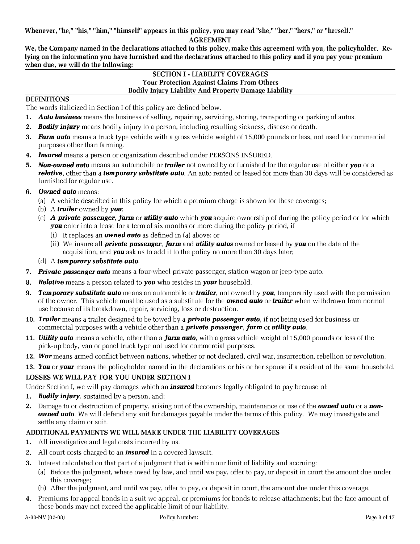Whenever, "he," "his," "him," "himself" appears in this policy, you may read "she," "her," "hers," or "herself."

#### AGREEMENT

We, the Company named in the declarations attached to this policy, make this agreement with you, the policyholder. Relying on the information you have furnished and the declarations attached to this policy and if you pay your premium when due, we will do the following:

#### SECTION I - LIABILITY COVERAGES Your Protection Against Claims From Others Bodily Injury Liability And Property Damage Liability

### **DEFINITIONS**

The words italicized in Section I of this policy are defined below.

- 1. Auto business means the business of selling, repairing, servicing, storing, transporting or parking of autos.
- 2. **Bodily injury** means bodily injury to a person, including resulting sickness, disease or death.
- 3. Farm auto means a truck type vehicle with a gross vehicle weight of 15,000 pounds or less, not used for commercial purposes other than farming.
- 4. **Insured** means a person or organization described under PERSONS INSURED.
- 5. Non-owned auto means an automobile or trailer not owned by or furnished for the regular use of either you or a relative, other than a temporary substitute auto. An auto rented or leased for more than 30 days will be considered as furnished for regular use.
- 6. Owned auto means:
	- (a) A vehicle described in this policy for which a premium charge is shown for these coverages;
	- (b) A **trailer** owned by **you**;
	- (c) A private passenger, farm or utility auto which you acquire ownership of during the policy period or for which **you** enter into a lease for a term of six months or more during the policy period, if
		- (i) It replaces an **owned auto** as defined in (a) above; or
		- (ii) We insure all **private passenger, farm** and **utility autos** owned or leased by **you** on the date of the acquisition, and **you** ask us to add it to the policy no more than 30 days later;
	- (d) A temporary substitute auto.
- 7. Private passenger auto means a four-wheel private passenger, station wagon or jeep-type auto.
- 8. **Relative** means a person related to **you** who resides in **your** household.
- 9. Temporary substitute auto means an automobile or trailer, not owned by you, temporarily used with the permission of the owner. This vehicle must be used as a substitute for the **owned auto** or **trailer** when withdrawn from normal use because of its breakdown, repair, servicing, loss or destruction.
- 10. Trailer means a trailer designed to be towed by a **private passenger auto**, if not being used for business or commercial purposes with a vehicle other than a **private passenger**, farm or **utility auto**.
- 11. Utility auto means a vehicle, other than a farm auto, with a gross vehicle weight of 15,000 pounds or less of the pick-up body, van or panel truck type not used for commercial purposes.
- 12. War means armed conflict between nations, whether or not declared, civil war, insurrection, rebellion or revolution.
- 13. You or your means the policyholder named in the declarations or his or her spouse if a resident of the same household.

# LOSSES WE WILL PAY FOR YOU UNDER SECTION I

Under Section I, we will pay damages which an **insured** becomes legally obligated to pay because of:

- **1. Bodily injury**, sustained by a person, and;
- 2. Damage to or destruction of property, arising out of the ownership, maintenance or use of the **owned auto** or a non*owned auto.* We will defend any suit for damages payable under the terms of this policy. We may investigate and settle any claim or suit.

# ADDITIONAL PAYMENTS WE WILL MAKE UNDER THE LIABILITY COVERAGES

- 1. All investigative and legal costs incurred by us.
- 2. All court costs charged to an **insured** in a covered lawsuit.
- 3. Interest calculated on that part of a judgment that is within our limit of liability and accruing:
	- (a) Before the judgment, where owed by law, and until we pay, offer to pay, or deposit in court the amount due under this coverage;
	- (b) After the judgment, and until we pay, offer to pay, or deposit in court, the amount due under this coverage.
- 4. Premiums for appeal bonds in a suit we appeal, or premiums for bonds to release attachments; but the face amount of these bonds may not exceed the applicable limit of our liability.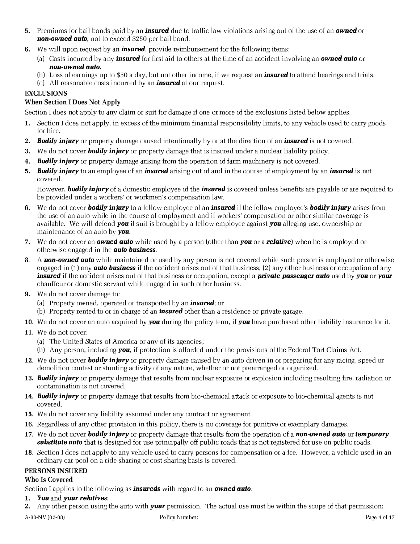- 5. Premiums for bail bonds paid by an *insured* due to traffic law violations arising out of the use of an **owned** or non-owned auto, not to exceed \$250 per bail bond.
- 6. We will upon request by an **insured**, provide reimbursement for the following items:
	- (a) Costs incurred by any **insured** for first aid to others at the time of an accident involving an **owned auto** or non-owned auto.
	- (b) Loss of earnings up to \$50 a day, but not other income, if we request an **insured** to attend hearings and trials.
	- (c) All reasonable costs incurred by an **insured** at our request.

# EXCLUSIONS

# When Section I Does Not Apply

Section I does not apply to any claim or suit for damage if one or more of the exclusions listed below applies.

- 1. Section I does not apply, in excess of the minimum financial responsibility limits, to any vehicle used to carry goods for hire.
- 2. Bodily injury or property damage caused intentionally by or at the direction of an insured is not covered.
- 3. We do not cover **bodily injury** or property damage that is insured under a nuclear liability policy.
- 4. **Bodily injury** or property damage arising from the operation of farm machinery is not covered.
- 5. Bodily injury to an employee of an insured arising out of and in the course of employment by an insured is not covered.

However, **bodily injury** of a domestic employee of the *insured* is covered unless benefits are payable or are required to be provided under a workers' or workmen's compensation law.

- 6. We do not cover **bodily injury** to a fellow employee of an **insured** if the fellow employee's **bodily injury** arises from the use of an auto while in the course of employment and if workers' compensation or other similar coverage is available. We will defend **you** if suit is brought by a fellow employee against **you** alleging use, ownership or maintenance of an auto by **you**.
- 7. We do not cover an **owned auto** while used by a person (other than **you** or a **relative**) when he is employed or otherwise engaged in the **auto business**.
- 8. A non-owned auto while maintained or used by any person is not covered while such person is employed or otherwise engaged in  $(1)$  any **auto business** if the accident arises out of that business;  $(2)$  any other business or occupation of any insured if the accident arises out of that business or occupation, except a **private passenger auto** used by you or your chauffeur or domestic servant while engaged in such other business.
- 9. We do not cover damage to:
	- (a) Property owned, operated or transported by an *insured*; or
	- (b) Property rented to or in charge of an **insured** other than a residence or private garage.
- 10. We do not cover an auto acquired by **you** during the policy term, if **you** have purchased other liability insurance for it.
- 11. We do not cover:
	- (a) The United States of America or any of its agencies;
	- (b) Any person, including **you**, if protection is afforded under the provisions of the Federal Tort Claims Act.
- 12. We do not cover **bodily injury** or property damage caused by an auto driven in or preparing for any racing, speed or demolition contest or stunting activity of any nature, whether or not prearranged or organized.
- 13. Bodily injury or property damage that results from nuclear exposure or explosion including resulting fire, radiation or contamination is not covered.
- 14. **Bodily injury** or property damage that results from bio-chemical attack or exposure to bio-chemical agents is not covered.
- 15. We do not cover any liability assumed under any contract or agreement.
- 16. Regardless of any other provision in this policy, there is no coverage for punitive or exemplary damages.
- 17. We do not cover **bodily injury** or property damage that results from the operation of a **non-owned auto** or **temporary substitute auto** that is designed for use principally off public roads that is not registered for use on public roads.
- 18. Section I does not apply to any vehicle used to carry persons for compensation or a fee. However, a vehicle used in an ordinary car pool on a ride sharing or cost sharing basis is covered.

# PERSONS INSURED

# Who Is Covered

Section I applies to the following as **insureds** with regard to an **owned auto**:

- 1. You and your relatives;
- 2. Any other person using the auto with **your** permission. The actual use must be within the scope of that permission;

A-30-NV (02-08) Policy Number: Policy Number: Page 4 of 17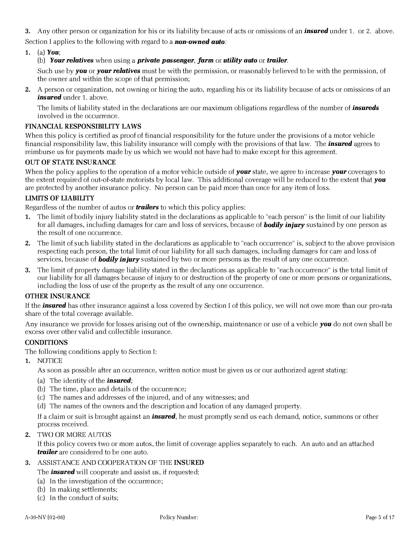3. Any other person or organization for his or its liability because of acts or omissions of an *insured* under 1. or 2. above. Section I applies to the following with regard to a **non-owned auto**:

## 1. (a) You;

## (b) Your relatives when using a private passenger, farm or utility auto or trailer.

Such use by **you** or **your relatives** must be with the permission, or reasonably believed to be with the permission, of the owner and within the scope of that permission;

2. A person or organization, not owning or hiring the auto, regarding his or its liability because of acts or omissions of an insured under 1. above.

The limits of liability stated in the declarations are our maximum obligations regardless of the number of *insureds* involved in the occurrence.

#### FINANCIAL RESPONSIBILITY LAWS

When this policy is certified as proof of financial responsibility for the future under the provisions of a motor vehicle financial responsibility law, this liability insurance will comply with the provisions of that law. The **insured** agrees to reimburse us for payments made by us which we would not have had to make except for this agreement.

#### OUT OF STATE INSURANCE

When the policy applies to the operation of a motor vehicle outside of **your** state, we agree to increase **your** coverages to the extent required of out-of-state motorists by local law. This additional coverage will be reduced to the extent that **you** are protected by another insurance policy. No person can be paid more than once for any item of loss.

#### LIMITS OF LIABILITY

Regardless of the number of autos or **trailers** to which this policy applies:

- 1. The limit of bodily injury liability stated in the declarations as applicable to "each person" is the limit of our liability for all damages, including damages for care and loss of services, because of **bodily injury** sustained by one person as the result of one occurrence.
- 2. The limit of such liability stated in the declarations as applicable to "each occurrence" is, subject to the above provision respecting each person, the total limit of our liability for all such damages, including damages for care and loss of services, because of **bodily injury** sustained by two or more persons as the result of any one occurrence.
- 3. The limit of property damage liability stated in the declarations as applicable to "each occurrence" is the total limit of our liability for all damages because of injury to or destruction of the property of one or more persons or organizations, including the loss of use of the property as the result of any one occurrence.

#### OTHER INSURANCE

If the **insured** has other insurance against a loss covered by Section I of this policy, we will not owe more than our pro-rata share of the total coverage available.

Any insurance we provide for losses arising out of the ownership, maintenance or use of a vehicle **you** do not own shall be excess over other valid and collectible insurance.

### **CONDITIONS**

The following conditions apply to Section I:

1. NOTICE

As soon as possible after an occurrence, written notice must be given us or our authorized agent stating:

- (a) The identity of the **insured**;
- (b) The time, place and details of the occurrence;
- (c) The names and addresses of the injured, and of any witnesses; and
- (d) The names of the owners and the description and location of any damaged property.

If a claim or suit is brought against an **insured**, he must promptly send us each demand, notice, summons or other process received.

### 2. TWO OR MORE AUTOS

If this policy covers two or more autos, the limit of coverage applies separately to each. An auto and an attached **trailer** are considered to be one auto.

### 3. ASSISTANCE AND COOPERATION OF THE INSURED

The **insured** will cooperate and assist us, if requested:

- (a) In the investigation of the occurrence;
- (b) In making settlements;
- (c) In the conduct of suits;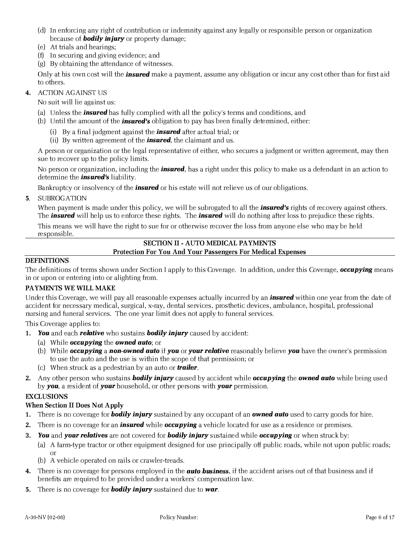- (d) In enforcing any right of contribution or indemnity against any legally or responsible person or organization because of **bodily injury** or property damage;
- (e) At trials and hearings;
- (f) In securing and giving evidence; and
- (g) By obtaining the attendance of witnesses.

Only at his own cost will the *insured* make a payment, assume any obligation or incur any cost other than for first aid to others.

### 4. ACTION AGAINST US

No suit will lie against us:

- (a) Unless the **insured** has fully complied with all the policy's terms and conditions, and
- (b) Until the amount of the **insured's** obligation to pay has been finally determined, either:
	- (i) By a final judgment against the **insured** after actual trial; or
	- (ii) By written agreement of the **insured**, the claimant and us.

A person or organization or the legal representative of either, who secures a judgment or written agreement, may then sue to recover up to the policy limits.

No person or organization, including the **insured**, has a right under this policy to make us a defendant in an action to determine the *insured's* liability.

Bankruptcy or insolvency of the *insured* or his estate will not relieve us of our obligations.

5. SUBROGATION

When payment is made under this policy, we will be subrogated to all the *insured's* rights of recovery against others. The **insured** will help us to enforce these rights. The **insured** will do nothing after loss to prejudice these rights.

This means we will have the right to sue for or otherwise recover the loss from anyone else who may be held responsible.

### SECTION II - AUTO MEDICAL PAYMENTS Protection For You And Your Passengers For Medical Expenses

### DEFINITIONS

The definitions of terms shown under Section I apply to this Coverage. In addition, under this Coverage, **occupying** means in or upon or entering into or alighting from.

## PAYMENTS WE WILL MAKE

Under this Coverage, we will pay all reasonable expenses actually incurred by an **insured** within one year from the date of accident for necessary medical, surgical, x-ray, dental services, prosthetic devices, ambulance, hospital, professional nursing and funeral services. The one year limit does not apply to funeral services.

This Coverage applies to:

- 1. You and each relative who sustains bodily injury caused by accident:
	- (a) While *occupying* the *owned* auto; or
	- (b) While **occupying a non-owned auto** if **you** or **your relative** reasonably believe **you** have the owner's permission to use the auto and the use is within the scope of that permission; or
	- (c) When struck as a pedestrian by an auto or **trailer**.
- 2. Any other person who sustains **bodily injury** caused by accident while **occupying** the **owned auto** while being used by **you**, a resident of **your** household, or other persons with **your** permission.

### **EXCLUSIONS**

### When Section II Does Not Apply

- 1. There is no coverage for **bodily injury** sustained by any occupant of an **owned auto** used to carry goods for hire.
- 2. There is no coverage for an **insured** while *occupying* a vehicle located for use as a residence or premises.
- 3. You and your relatives are not covered for bodily injury sustained while occupying or when struck by:
	- (a) A farm-type tractor or other equipment designed for use principally off public roads, while not upon public roads; or
	- (b) A vehicle operated on rails or crawler-treads.
- 4. There is no coverage for persons employed in the **auto business**, if the accident arises out of that business and if benefits are required to be provided under a workers' compensation law.
- 5. There is no coverage for **bodily injury** sustained due to **war**.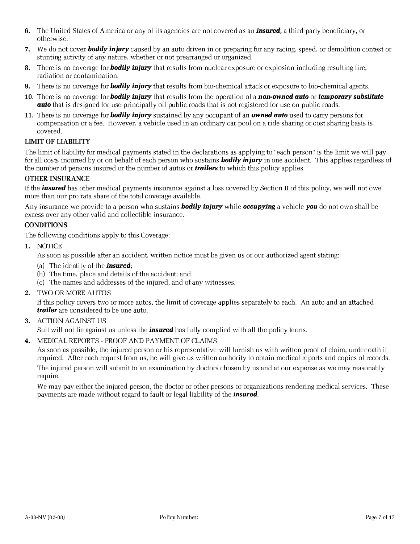- 6. The United States of America or any of its agencies are not covered as an *insured*, a third party beneficiary, or otherwise.
- 7. We do not cover **bodily injury** caused by an auto driven in or preparing for any racing, speed, or demolition contest or stunting activity of any nature, whether or not prearranged or organized.
- 8. There is no coverage for **bodily injury** that results from nuclear exposure or explosion including resulting fire, radiation or contamination.
- 9. There is no coverage for **bodily injury** that results from bio-chemical attack or exposure to bio-chemical agents.
- 10. There is no coverage for **bodily injury** that results from the operation of a **non-owned auto** or **temporary substitute auto** that is designed for use principally off public roads that is not registered for use on public roads.
- 11. There is no coverage for **bodily injury** sustained by any occupant of an **owned auto** used to carry persons for compensation or a fee. However, a vehicle used in an ordinary car pool on a ride sharing or cost sharing basis is covered.

## LIMIT OF LIABILITY

The limit of liability for medical payments stated in the declarations as applying to "each person" is the limit we will pay for all costs incurred by or on behalf of each person who sustains **bodily injury** in one accident. This applies regardless of the number of persons insured or the number of autos or *trailers* to which this policy applies.

### OTHER INSURANCE

If the **insured** has other medical payments insurance against a loss covered by Section II of this policy, we will not owe more than our pro rata share of the total coverage available.

Any insurance we provide to a person who sustains **bodily injury** while **occupying** a vehicle **you** do not own shall be excess over any other valid and collectible insurance.

## **CONDITIONS**

The following conditions apply to this Coverage:

1. NOTICE

As soon as possible after an accident, written notice must be given us or our authorized agent stating:

- (a) The identity of the **insured**;
- (b) The time, place and details of the accident; and
- (c) The names and addresses of the injured, and of any witnesses.
- 2. TWO OR MORE AUTOS

If this policy covers two or more autos, the limit of coverage applies separately to each. An auto and an attached **trailer** are considered to be one auto.

3. ACTION AGAINST US

Suit will not lie against us unless the **insured** has fully complied with all the policy terms.

4. MEDICAL REPORTS - PROOF AND PAYMENT OF CLAIMS

As soon as possible, the injured person or his representative will furnish us with written proof of claim, under oath if required. After each request from us, he will give us written authority to obtain medical reports and copies of records.

The injured person will submit to an examination by doctors chosen by us and at our expense as we may reasonably require.

We may pay either the injured person, the doctor or other persons or organizations rendering medical services. These payments are made without regard to fault or legal liability of the *insured*.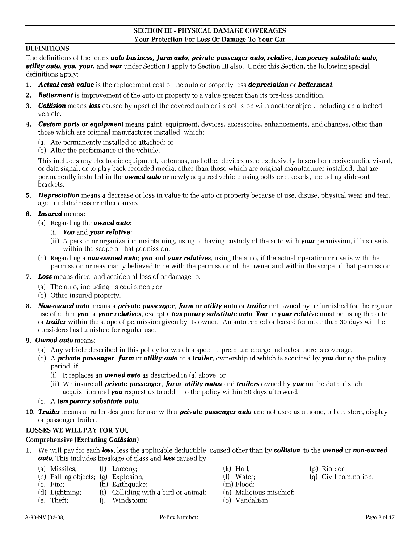#### SECTION III - PHYSICAL DAMAGE COVERAGES Your Protection For Loss Or Damage To Your Car

## DEFINITIONS

The definitions of the terms **auto business, farm auto, private passenger auto, relative, temporary substitute auto,** utility auto, you, your, and war under Section I apply to Section III also. Under this Section, the following special definitions apply:

- 1. Actual cash value is the replacement cost of the auto or property less depreciation or betterment.
- **2. Betterment** is improvement of the auto or property to a value greater than its pre-loss condition.
- 3. **Collision** means loss caused by upset of the covered auto or its collision with another object, including an attached vehicle.
- 4. Custom parts or equipment means paint, equipment, devices, accessories, enhancements, and changes, other than those which are original manufacturer installed, which:
	- (a) Are permanently installed or attached; or
	- (b) Alter the performance of the vehicle.

This includes any electronic equipment, antennas, and other devices used exclusively to send or receive audio, visual, or data signal, or to play back recorded media, other than those which are original manufacturer installed, that are permanently installed in the **owned auto** or newly acquired vehicle using bolts or brackets, including slide-out brackets.

5. Depreciation means a decrease or loss in value to the auto or property because of use, disuse, physical wear and tear, age, outdatedness or other causes.

### 6. **Insured** means:

- (a) Regarding the **owned auto**:
	- (i) You and your relative;
	- (ii) A person or organization maintaining, using or having custody of the auto with **your** permission, if his use is within the scope of that permission.
- (b) Regarding a **non-owned auto; you** and **your relatives**, using the auto, if the actual operation or use is with the permission or reasonably believed to be with the permission of the owner and within the scope of that permission.
- 7. Loss means direct and accidental loss of or damage to:
	- (a) The auto, including its equipment; or
	- (b) Other insured property.
- 8. Non-owned auto means a private passenger, farm or utility auto or trailer not owned by or furnished for the regular use of either you or your relatives, except a temporary substitute auto. You or your relative must be using the auto or **trailer** within the scope of permission given by its owner. An auto rented or leased for more than 30 days will be considered as furnished for regular use.
- 9. Owned auto means:
	- (a) Any vehicle described in this policy for which a specific premium charge indicates there is coverage;
	- (b) A **private passenger, farm** or **utility auto** or a **trailer**, ownership of which is acquired by **you** during the policy period; if
		- (i) It replaces an **owned auto** as described in (a) above, or
		- (ii) We insure all **private passenger, farm, utility autos** and **trailers** owned by **you** on the date of such acquisition and **you** request us to add it to the policy within 30 days afterward;
	- (c)  $A$  temporary substitute auto.
- 10. Trailer means a trailer designed for use with a **private passenger auto** and not used as a home, office, store, display or passenger trailer.

# LOSSES WE WILL PAY FOR YOU

# Comprehensive (Excluding Collision)

- 1. We will pay for each **loss**, less the applicable deductible, caused other than by **collision**, to the **owned** or **non-owned auto**. This includes breakage of glass and **loss** caused by:
	- (a) Missiles; (f) Larceny; (k) Hail; (p) Riot; or
	- (b) Falling objects; (g) Explosion; (l) Water; (g) Civil commotion.
	- (c) Fire; (h) Earthquake; (m) Flood;
	- (d) Lightning; (i) Colliding with a bird or animal; (n) Malicious mischief;
	- (e) Theft; (j) Windstorm; (o) Vandalism;
- 
- 
- 
- 
- 
-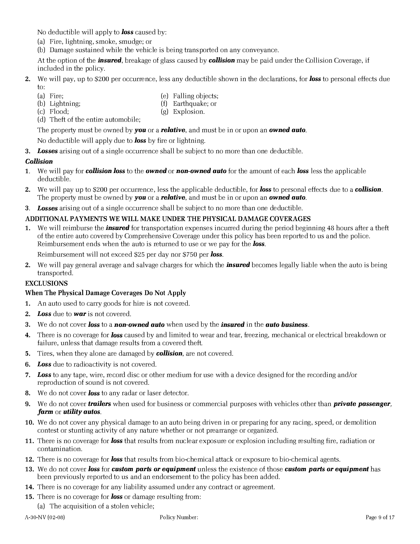No deductible will apply to **loss** caused by:

- (a) Fire, lightning, smoke, smudge; or
- (b) Damage sustained while the vehicle is being transported on any conveyance.

At the option of the *insured*, breakage of glass caused by **collision** may be paid under the Collision Coverage, if included in the policy.

#### 2. We will pay, up to \$200 per occurrence, less any deductible shown in the declarations, for **loss** to personal effects due to:

- (a) Fire; (e) Falling objects;
- 
- (b) Lightning; (f) Earthquake; or
- 
- (c) Flood; (g) Explosion.
- (d) Theft of the entire automobile;

The property must be owned by **you** or a **relative**, and must be in or upon an **owned auto**.

No deductible will apply due to **loss** by fire or lightning.

**3.** Losses arising out of a single occurrence shall be subject to no more than one deductible.

## Collision

- 1. We will pay for **collision loss** to the **owned** or **non-owned auto** for the amount of each **loss** less the applicable deductible.
- 2. We will pay up to \$200 per occurrence, less the applicable deductible, for **loss** to personal effects due to a **collision**. The property must be owned by **you** or a **relative**, and must be in or upon an **owned auto**.
- 3. Losses arising out of a single occurrence shall be subject to no more than one deductible.

# ADDITIONAL PAYMENTS WE WILL MAKE UNDER THE PHYSICAL DAMAGE COVERAGES

1. We will reimburse the **insured** for transportation expenses incurred during the period beginning 48 hours after a theft of the entire auto covered by Comprehensive Coverage under this policy has been reported to us and the police. Reimbursement ends when the auto is returned to use or we pay for the **loss**.

Reimbursement will not exceed \$25 per day nor \$750 per loss.

2. We will pay general average and salvage charges for which the **insured** becomes legally liable when the auto is being transported.

### EXCLUSIONS

# When The Physical Damage Coverages Do Not Apply

- 1. An auto used to carry goods for hire is not covered.
- 2. Loss due to war is not covered.
- 3. We do not cover **loss** to a **non-owned auto** when used by the **insured** in the **auto business**.
- 4. There is no coverage for **loss** caused by and limited to wear and tear, freezing, mechanical or electrical breakdown or failure, unless that damage results from a covered theft.
- **5.** Tires, when they alone are damaged by **collision**, are not covered.
- 6. Loss due to radioactivity is not covered.
- 7. Loss to any tape, wire, record disc or other medium for use with a device designed for the recording and/or reproduction of sound is not covered.
- 8. We do not cover **loss** to any radar or laser detector.
- 9. We do not cover **trailers** when used for business or commercial purposes with vehicles other than **private passenger**, farm or utility autos.
- 10. We do not cover any physical damage to an auto being driven in or preparing for any racing, speed, or demolition contest or stunting activity of any nature whether or not prearrange or organized.
- 11. There is no coverage for **loss** that results from nuclear exposure or explosion including resulting fire, radiation or contamination.
- 12. There is no coverage for **loss** that results from bio-chemical attack or exposure to bio-chemical agents.
- 13. We do not cover **loss** for **custom parts or equipment** unless the existence of those **custom parts or equipment** has been previously reported to us and an endorsement to the policy has been added.
- 14. There is no coverage for any liability assumed under any contract or agreement.
- **15.** There is no coverage for **loss** or damage resulting from:
	- (a) The acquisition of a stolen vehicle;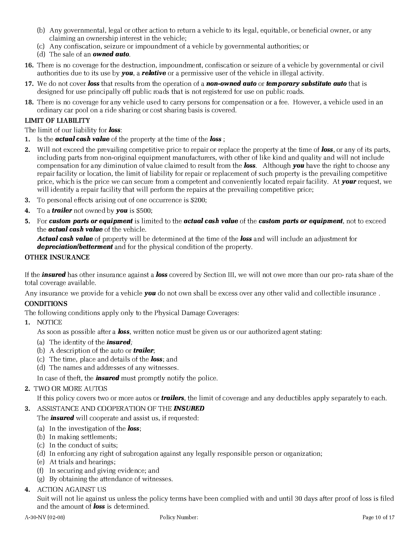- (b) Any governmental, legal or other action to return a vehicle to its legal, equitable, or beneficial owner, or any claiming an ownership interest in the vehicle;
- (c) Any confiscation, seizure or impoundment of a vehicle by governmental authorities; or
- (d) The sale of an **owned auto**.
- 16. There is no coverage for the destruction, impoundment, confiscation or seizure of a vehicle by governmental or civil authorities due to its use by **you**, a **relative** or a permissive user of the vehicle in illegal activity.
- 17. We do not cover **loss** that results from the operation of a **non-owned auto** or **temporary substitute auto** that is designed for use principally off public roads that is not registered for use on public roads.
- 18. There is no coverage for any vehicle used to carry persons for compensation or a fee. However, a vehicle used in an ordinary car pool on a ride sharing or cost sharing basis is covered.

## LIMIT OF LIABILITY

The limit of our liability for **loss**:

- 1. Is the **actual cash value** of the property at the time of the **loss**;
- 2. Will not exceed the prevailing competitive price to repair or replace the property at the time of **loss**, or any of its parts, including parts from non-original equipment manufacturers, with other of like kind and quality and will not include compensation for any diminution of value claimed to result from the **loss**. Although **you** have the right to choose any repair facility or location, the limit of liability for repair or replacement of such property is the prevailing competitive price, which is the price we can secure from a competent and conveniently located repair facility. At **your** request, we will identify a repair facility that will perform the repairs at the prevailing competitive price;
- 3. To personal effects arising out of one occurrence is \$200;
- **4.** To a *trailer* not owned by **you** is \$500;
- 5. For custom parts or equipment is limited to the actual cash value of the custom parts or equipment, not to exceed the **actual cash value** of the vehicle.

Actual cash value of property will be determined at the time of the loss and will include an adjustment for **depreciation/betterment** and for the physical condition of the property.

### OTHER INSURANCE

If the **insured** has other insurance against a **loss** covered by Section III, we will not owe more than our pro- rata share of the total coverage available.

Any insurance we provide for a vehicle **you** do not own shall be excess over any other valid and collectible insurance.

# **CONDITIONS**

The following conditions apply only to the Physical Damage Coverages:

1. NOTICE

As soon as possible after a **loss**, written notice must be given us or our authorized agent stating:

- (a) The identity of the **insured**;
- (b) A description of the auto or **trailer**;
- (c) The time, place and details of the loss; and
- (d) The names and addresses of any witnesses.

In case of theft, the **insured** must promptly notify the police.

# 2. TWO OR MORE AUTOS

If this policy covers two or more autos or **trailers**, the limit of coverage and any deductibles apply separately to each.

# 3. ASSISTANCE AND COOPERATION OF THE INSURED

The **insured** will cooperate and assist us, if requested:

- (a) In the investigation of the **loss**;
- (b) In making settlements;
- (c) In the conduct of suits;
- (d) In enforcing any right of subrogation against any legally responsible person or organization;
- (e) At trials and hearings;
- (f) In securing and giving evidence; and
- (g) By obtaining the attendance of witnesses.

# ACTION AGAINST US

Suit will not lie against us unless the policy terms have been complied with and until 30 days after proof of loss is filed and the amount of **loss** is determined.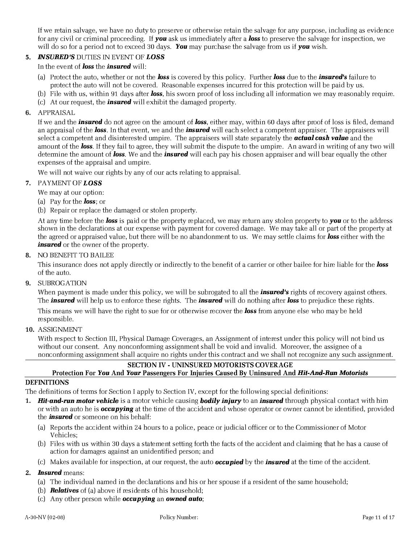If we retain salvage, we have no duty to preserve or otherwise retain the salvage for any purpose, including as evidence for any civil or criminal proceeding. If **you** ask us immediately after a **loss** to preserve the salvage for inspection, we will do so for a period not to exceed 30 days. You may purchase the salvage from us if you wish.

# 5. INSURED'S DUTIES IN EVENT OF LOSS

In the event of **loss** the **insured** will:

- (a) Protect the auto, whether or not the **loss** is covered by this policy. Further **loss** due to the **insured's** failure to protect the auto will not be covered. Reasonable expenses incurred for this protection will be paid by us.
- (b) File with us, within 91 days after **loss**, his sworn proof of loss including all information we may reasonably require.
- (c) At our request, the **insured** will exhibit the damaged property.

### 6. APPRAISAL

If we and the *insured* do not agree on the amount of *loss*, either may, within 60 days after proof of loss is filed, demand an appraisal of the **loss**. In that event, we and the **insured** will each select a competent appraiser. The appraisers will select a competent and disinterested umpire. The appraisers will state separately the **actual cash value** and the amount of the **loss**. If they fail to agree, they will submit the dispute to the umpire. An award in writing of any two will determine the amount of loss. We and the *insured* will each pay his chosen appraiser and will bear equally the other expenses of the appraisal and umpire.

We will not waive our rights by any of our acts relating to appraisal.

### 7. PAYMENT OF LOSS

We may at our option:

- (a) Pay for the **loss**; or
- (b) Repair or replace the damaged or stolen property.

At any time before the **loss** is paid or the property replaced, we may return any stolen property to you or to the address shown in the declarations at our expense with payment for covered damage. We may take all or part of the property at the agreed or appraised value, but there will be no abandonment to us. We may settle claims for **loss** either with the **insured** or the owner of the property.

#### 8. NO BENEFIT TO BAILEE

This insurance does not apply directly or indirectly to the benefit of a carrier or other bailee for hire liable for the loss of the auto.

9. SUBROGATION

When payment is made under this policy, we will be subrogated to all the **insured's** rights of recovery against others. The **insured** will help us to enforce these rights. The **insured** will do nothing after **loss** to prejudice these rights.

This means we will have the right to sue for or otherwise recover the **loss** from anyone else who may be held responsible.

10. ASSIGNMENT

With respect to Section III, Physical Damage Coverages, an Assignment of interest under this policy will not bind us without our consent. Any nonconforming assignment shall be void and invalid. Moreover, the assignee of a nonconforming assignment shall acquire no rights under this contract and we shall not recognize any such assignment.

## SECTION IV - UNINSURED MOTORISTS COVERAGE

#### Protection For You And Your Passengers For Injuries Caused By Uninsured And Hit-And-Run Motorists DEFINITIONS

The definitions of terms for Section I apply to Section IV, except for the following special definitions:

- 1. Hit-and-run motor vehicle is a motor vehicle causing bodily injury to an insured through physical contact with him or with an auto he is **occupying** at the time of the accident and whose operator or owner cannot be identified, provided the **insured** or someone on his behalf:
	- (a) Reports the accident within 24 hours to a police, peace or judicial officer or to the Commissioner of Motor Vehicles;
	- (b) Files with us within 30 days a statement setting forth the facts of the accident and claiming that he has a cause of action for damages against an unidentified person; and
	- (c) Makes available for inspection, at our request, the auto **occupied** by the **insured** at the time of the accident.

### 2. **Insured** means:

- (a) The individual named in the declarations and his or her spouse if a resident of the same household;
- (b) **Relatives** of (a) above if residents of his household;
- (c) Any other person while *occupying* an *owned* auto;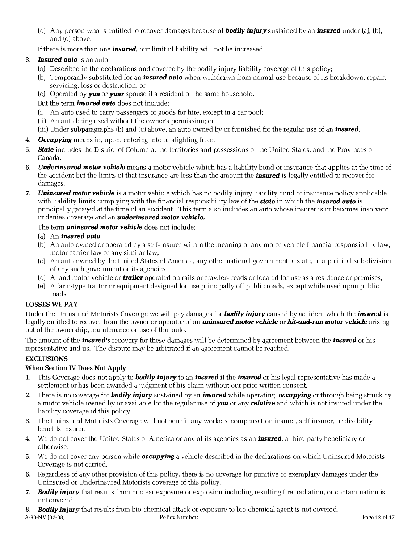(d) Any person who is entitled to recover damages because of **bodily injury** sustained by an **insured** under (a), (b), and (c) above.

If there is more than one **insured**, our limit of liability will not be increased.

## **3.** Insured auto is an auto:

- (a) Described in the declarations and covered by the bodily injury liability coverage of this policy;
- (b) Temporarily substituted for an *insured auto* when withdrawn from normal use because of its breakdown, repair, servicing, loss or destruction; or
- (c) Operated by **you** or **your** spouse if a resident of the same household.
- But the term *insured auto* does not include:
- (i) An auto used to carry passengers or goods for hire, except in a car pool;
- (ii) An auto being used without the owner's permission; or

(iii) Under subparagraphs (b) and (c) above, an auto owned by or furnished for the regular use of an *insured*.

- 4. Occupying means in, upon, entering into or alighting from.
- 5. State includes the District of Columbia, the territories and possessions of the United States, and the Provinces of Canada.
- 6. Underinsured motor vehicle means a motor vehicle which has a liability bond or insurance that applies at the time of the accident but the limits of that insurance are less than the amount the *insured* is legally entitled to recover for damages.
- 7. Uninsured motor vehicle is a motor vehicle which has no bodily injury liability bond or insurance policy applicable with liability limits complying with the financial responsibility law of the **state** in which the **insured auto** is principally garaged at the time of an accident. This term also includes an auto whose insurer is or becomes insolvent or denies coverage and an **underinsured motor vehicle.**

## The term **uninsured motor vehicle** does not include:

### (a) An *insured auto*;

- (b) An auto owned or operated by a self-insurer within the meaning of any motor vehicle financial responsibility law, motor carrier law or any similar law;
- (c) An auto owned by the United States of America, any other national government, a state, or a political sub-division of any such government or its agencies;
- (d) A land motor vehicle or **trailer** operated on rails or crawler-treads or located for use as a residence or premises;
- (e) A farm-type tractor or equipment designed for use principally off public roads, except while used upon public roads.

# LOSSES WE PAY

Under the Uninsured Motorists Coverage we will pay damages for **bodily injury** caused by accident which the *insured* is legally entitled to recover from the owner or operator of an **uninsured motor vehicle** or **hit-and-run motor vehicle** arising out of the ownership, maintenance or use of that auto.

The amount of the *insured's* recovery for these damages will be determined by agreement between the *insured* or his representative and us. The dispute may be arbitrated if an agreement cannot be reached.

# **EXCLUSIONS**

### When Section IV Does Not Apply

- 1. This Coverage does not apply to **bodily injury** to an **insured** if the **insured** or his legal representative has made a settlement or has been awarded a judgment of his claim without our prior written consent.
- 2. There is no coverage for **bodily injury** sustained by an **insured** while operating, **occupying** or through being struck by a motor vehicle owned by or available for the regular use of **you** or any **relative** and which is not insured under the liability coverage of this policy.
- 3. The Uninsured Motorists Coverage will not benefit any workers' compensation insurer, self insurer, or disability benefits insurer.
- 4. We do not cover the United States of America or any of its agencies as an *insured*, a third party beneficiary or otherwise.
- 5. We do not cover any person while **occupying** a vehicle described in the declarations on which Uninsured Motorists Coverage is not carried.
- 6. Regardless of any other provision of this policy, there is no coverage for punitive or exemplary damages under the Uninsured or Underinsured Motorists coverage of this policy.
- 7. Bodily injury that results from nuclear exposure or explosion including resulting fire, radiation, or contamination is not covered.

#### A-30-NV (02-08) Policy Number: Page 12 of 17 8. Bodily injury that results from bio-chemical attack or exposure to bio-chemical agent is not covered.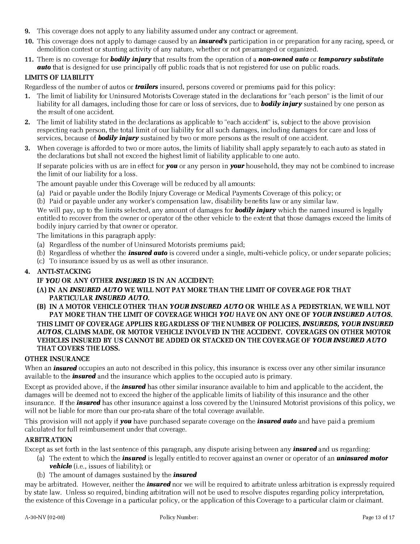- 9. This coverage does not apply to any liability assumed under any contract or agreement.
- 10. This coverage does not apply to damage caused by an **insured's** participation in or preparation for any racing, speed, or demolition contest or stunting activity of any nature, whether or not prearranged or organized.
- 11. There is no coverage for **bodily injury** that results from the operation of a **non-owned auto** or **temporary substitute auto** that is designed for use principally off public roads that is not registered for use on public roads.

## LIMITS OF LIABILITY

Regardless of the number of autos or **trailers** insured, persons covered or premiums paid for this policy:

- 1. The limit of liability for Uninsured Motorists Coverage stated in the declarations for "each person" is the limit of our liability for all damages, including those for care or loss of services, due to **bodily injury** sustained by one person as the result of one accident.
- 2. The limit of liability stated in the declarations as applicable to "each accident" is, subject to the above provision respecting each person, the total limit of our liability for all such damages, including damages for care and loss of services, because of **bodily injury** sustained by two or more persons as the result of one accident.
- 3. When coverage is afforded to two or more autos, the limits of liability shall apply separately to each auto as stated in the declarations but shall not exceed the highest limit of liability applicable to one auto.

If separate policies with us are in effect for **you** or any person in **your** household, they may not be combined to increase the limit of our liability for a loss.

The amount payable under this Coverage will be reduced by all amounts:

- (a) Paid or payable under the Bodily Injury Coverage or Medical Payments Coverage of this policy; or
- (b) Paid or payable under any worker's compensation law, disability benefits law or any similar law.

We will pay, up to the limits selected, any amount of damages for **bodily injury** which the named insured is legally entitled to recover from the owner or operator of the other vehicle to the extent that those damages exceed the limits of bodily injury carried by that owner or operator.

The limitations in this paragraph apply:

- (a) Regardless of the number of Uninsured Motorists premiums paid;
- (b) Regardless of whether the **insured auto** is covered under a single, multi-vehicle policy, or under separate policies;
- (c) To insurance issued by us as well as other insurance.

### 4. ANTI-STACKING

# IF YOU OR ANY OTHER INSURED IS IN AN ACCIDENT:

- (A) IN AN INSURED AUTO WE WILL NOT PAY MORE THAN THE LIMIT OF COVERAGE FOR THAT PARTICULAR INSURED AUTO.
- (B) IN A MOTOR VEHICLE OTHER THAN YOUR INSURED AUTO OR WHILE AS A PEDESTRIAN, WE WILL NOT PAY MORE THAN THE LIMIT OF COVERAGE WHICH YOU HAVE ON ANY ONE OF YOUR INSURED AUTOS. THIS LIMIT OF COVERAGE APPLIES REGARDLESS OF THE NUMBER OF POLICIES, INSUREDS, YOUR INSURED AUTOS, CLAIMS MADE, OR MOTOR VEHICLE INVOLVED IN THE ACCIDENT. COVERAGES ON OTHER MOTOR VEHICLES INSURED BY US CANNOT BE ADDED OR STACKED ON THE COVERAGE OF YOUR INSURED AUTO THAT COVERS THE LOSS.

### OTHER INSURANCE

When an *insured* occupies an auto not described in this policy, this insurance is excess over any other similar insurance available to the **insured** and the insurance which applies to the occupied auto is primary.

Except as provided above, if the **insured** has other similar insurance available to him and applicable to the accident, the damages will be deemed not to exceed the higher of the applicable limits of liability of this insurance and the other insurance. If the **insured** has other insurance against a loss covered by the Uninsured Motorist provisions of this policy, we will not be liable for more than our pro-rata share of the total coverage available.

This provision will not apply if **you** have purchased separate coverage on the **insured auto** and have paid a premium calculated for full reimbursement under that coverage.

### ARBITRATION

Except as set forth in the last sentence of this paragraph, any dispute arising between any **insured** and us regarding:

- (a) The extent to which the *insured* is legally entitled to recover against an owner or operator of an *uninsured motor* **vehicle** (i.e., issues of liability); or
- (b) The amount of damages sustained by the *insured*

may be arbitrated. However, neither the **insured** nor we will be required to arbitrate unless arbitration is expressly required by state law. Unless so required, binding arbitration will not be used to resolve disputes regarding policy interpretation, the existence of this Coverage in a particular policy, or the application of this Coverage to a particular claim or claimant.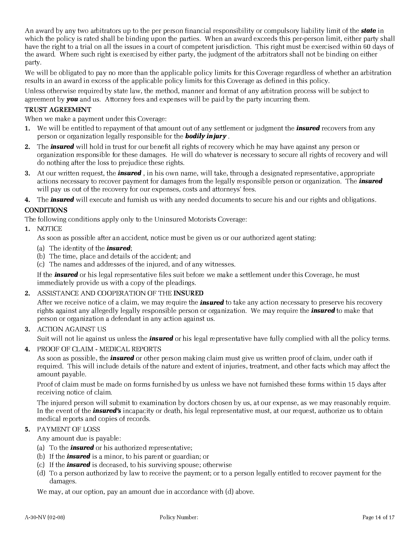An award by any two arbitrators up to the per person financial responsibility or compulsory liability limit of the **state** in which the policy is rated shall be binding upon the parties. When an award exceeds this per-person limit, either party shall have the right to a trial on all the issues in a court of competent jurisdiction. This right must be exercised within 60 days of the award. Where such right is exercised by either party, the judgment of the arbitrators shall not be binding on either party.

We will be obligated to pay no more than the applicable policy limits for this Coverage regardless of whether an arbitration results in an award in excess of the applicable policy limits for this Coverage as defined in this policy.

Unless otherwise required by state law, the method, manner and format of any arbitration process will be subject to agreement by **you** and us. Attorney fees and expenses will be paid by the party incurring them.

### TRUST AGREEMENT

When we make a payment under this Coverage:

- 1. We will be entitled to repayment of that amount out of any settlement or judgment the **insured** recovers from any person or organization legally responsible for the **bodily injury**.
- 2. The **insured** will hold in trust for our benefit all rights of recovery which he may have against any person or organization responsible for these damages. He will do whatever is necessary to secure all rights of recovery and will do nothing after the loss to prejudice these rights.
- 3. At our written request, the **insured**, in his own name, will take, through a designated representative, appropriate actions necessary to recover payment for damages from the legally responsible person or organization. The **insured** will pay us out of the recovery for our expenses, costs and attorneys' fees.
- 4. The *insured* will execute and furnish us with any needed documents to secure his and our rights and obligations.

## **CONDITIONS**

The following conditions apply only to the Uninsured Motorists Coverage:

1. NOTICE

As soon as possible after an accident, notice must be given us or our authorized agent stating:

- (a) The identity of the **insured**;
- (b) The time, place and details of the accident; and
- (c) The names and addresses of the injured, and of any witnesses.

If the **insured** or his legal representative files suit before we make a settlement under this Coverage, he must immediately provide us with a copy of the pleadings.

2. ASSISTANCE AND COOPERATION OF THE INSURED

After we receive notice of a claim, we may require the **insured** to take any action necessary to preserve his recovery rights against any allegedly legally responsible person or organization. We may require the **insured** to make that person or organization a defendant in any action against us.

3. ACTION AGAINST US

Suit will not lie against us unless the *insured* or his legal representative have fully complied with all the policy terms.

4. PROOF OF CLAIM - MEDICAL REPORTS

As soon as possible, the **insured** or other person making claim must give us written proof of claim, under oath if required. This will include details of the nature and extent of injuries, treatment, and other facts which may affect the amount payable.

Proof of claim must be made on forms furnished by us unless we have not furnished these forms within 15 days after receiving notice of claim.

The injured person will submit to examination by doctors chosen by us, at our expense, as we may reasonably require. In the event of the *insured's* incapacity or death, his legal representative must, at our request, authorize us to obtain medical reports and copies of records.

### 5. PAYMENT OF LOSS

Any amount due is payable:

- (a) To the **insured** or his authorized representative;
- (b) If the **insured** is a minor, to his parent or guardian; or
- (c) If the insured is deceased, to his surviving spouse; otherwise
- (d) To a person authorized by law to receive the payment; or to a person legally entitled to recover payment for the damages.

We may, at our option, pay an amount due in accordance with (d) above.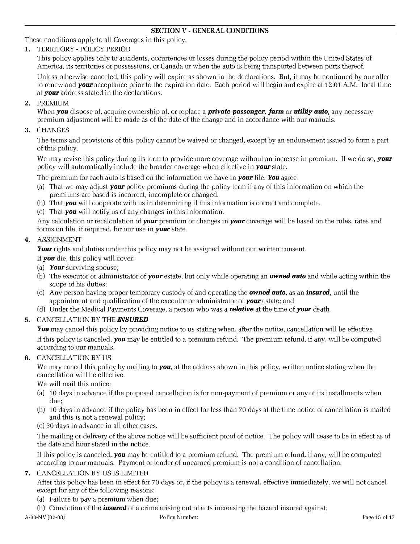### SECTION V - GENERAL CONDITIONS

These conditions apply to all Coverages in this policy.

1. TERRITORY - POLICY PERIOD

This policy applies only to accidents, occurrences or losses during the policy period within the United States of America, its territories or possessions, or Canada or when the auto is being transported between ports thereof.

Unless otherwise canceled, this policy will expire as shown in the declarations. But, it may be continued by our offer to renew and **your** acceptance prior to the expiration date. Each period will begin and expire at 12:01 A.M. local time at **your** address stated in the declarations.

2. PREMIUM

When **you** dispose of, acquire ownership of, or replace a **private passenger, farm** or **utility auto**, any necessary premium adjustment will be made as of the date of the change and in accordance with our manuals.

3. CHANGES

The terms and provisions of this policy cannot be waived or changed, except by an endorsement issued to form a part of this policy.

We may revise this policy during its term to provide more coverage without an increase in premium. If we do so, your policy will automatically include the broader coverage when effective in **your** state.

The premium for each auto is based on the information we have in **your** file. You agree:

- (a) That we may adjust **your** policy premiums during the policy term if any of this information on which the premiums are based is incorrect, incomplete or changed.
- (b) That **you** will cooperate with us in determining if this information is correct and complete.
- (c) That you will notify us of any changes in this information.

Any calculation or recalculation of **vour** premium or changes in **vour** coverage will be based on the rules, rates and forms on file, if required, for our use in **your** state.

4. ASSIGNMENT

Your rights and duties under this policy may not be assigned without our written consent.

- If **you** die, this policy will cover:
- (a) Your surviving spouse;
- (b) The executor or administrator of **your** estate, but only while operating an **owned auto** and while acting within the scope of his duties;
- (c) Any person having proper temporary custody of and operating the **owned auto**, as an **insured**, until the appointment and qualification of the executor or administrator of **your** estate; and
- (d) Under the Medical Payments Coverage, a person who was a **relative** at the time of **your** death.
- 5. CANCELLATION BY THE INSURED

You may cancel this policy by providing notice to us stating when, after the notice, cancellation will be effective. If this policy is canceled, **you** may be entitled to a premium refund. The premium refund, if any, will be computed according to our manuals.

6. CANCELLATION BY US

We may cancel this policy by mailing to **you**, at the address shown in this policy, written notice stating when the cancellation will be effective.

We will mail this notice:

- (a) 10 days in advance if the proposed cancellation is for non-payment of premium or any of its installments when due;
- (b) 10 days in advance if the policy has been in effect for less than 70 days at the time notice of cancellation is mailed and this is not a renewal policy;
- (c) 30 days in advance in all other cases.

The mailing or delivery of the above notice will be sufficient proof of notice. The policy will cease to be in effect as of the date and hour stated in the notice.

If this policy is canceled, **you** may be entitled to a premium refund. The premium refund, if any, will be computed according to our manuals. Payment or tender of unearned premium is not a condition of cancellation.

7. CANCELLATION BY US IS LIMITED

After this policy has been in effect for 70 days or, if the policy is a renewal, effective immediately, we will not cancel except for any of the following reasons:

(a) Failure to pay a premium when due;

(b) Conviction of the *insured* of a crime arising out of acts increasing the hazard insured against;

A-30-NV (02-08) Policy Number: Page 15 of 17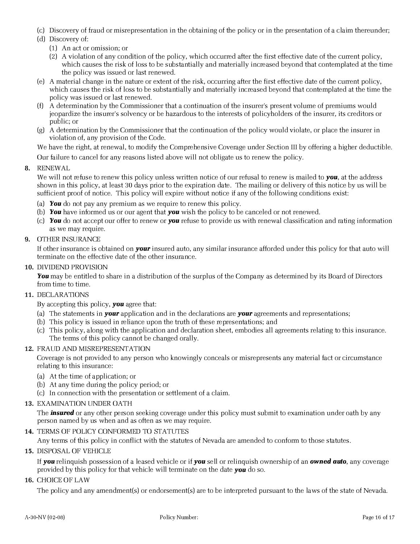- (c) Discovery of fraud or misrepresentation in the obtaining of the policy or in the presentation of a claim thereunder;
- (d) Discovery of:
	- (1) An act or omission; or
	- (2) A violation of any condition of the policy, which occurred after the first effective date of the current policy, which causes the risk of loss to be substantially and materially increased beyond that contemplated at the time the policy was issued or last renewed.
- (e) A material change in the nature or extent of the risk, occurring after the first effective date of the current policy, which causes the risk of loss to be substantially and materially increased beyond that contemplated at the time the policy was issued or last renewed.
- (f) A determination by the Commissioner that a continuation of the insurer's present volume of premiums would jeopardize the insurer's solvency or be hazardous to the interests of policyholders of the insurer, its creditors or public; or
- (g) A determination by the Commissioner that the continuation of the policy would violate, or place the insurer in violation of, any provision of the Code.

We have the right, at renewal, to modify the Comprehensive Coverage under Section III by offering a higher deductible.

Our failure to cancel for any reasons listed above will not obligate us to renew the policy.

# 8. RENEWAL

We will not refuse to renew this policy unless written notice of our refusal to renew is mailed to **you**, at the address shown in this policy, at least 30 days prior to the expiration date. The mailing or delivery of this notice by us will be sufficient proof of notice. This policy will expire without notice if any of the following conditions exist:

- (a) You do not pay any premium as we require to renew this policy.
- (b) You have informed us or our agent that you wish the policy to be canceled or not renewed.
- (c) You do not accept our offer to renew or you refuse to provide us with renewal classification and rating information as we may require.
- 9. OTHER INSURANCE

If other insurance is obtained on **your** insured auto, any similar insurance afforded under this policy for that auto will terminate on the effective date of the other insurance.

#### 10. DIVIDEND PROVISION

You may be entitled to share in a distribution of the surplus of the Company as determined by its Board of Directors from time to time.

## 11. DECLARATIONS

By accepting this policy, **you** agree that:

- (a) The statements in **your** application and in the declarations are **your** agreements and representations;
- (b) This policy is issued in reliance upon the truth of these representations; and
- (c) This policy, along with the application and declaration sheet, embodies all agreements relating to this insurance. The terms of this policy cannot be changed orally.

### 12. FRAUD AND MISREPRESENTATION

Coverage is not provided to any person who knowingly conceals or misrepresents any material fact or circumstance relating to this insurance:

- (a) At the time of application; or
- (b) At any time during the policy period; or
- (c) In connection with the presentation or settlement of a claim.

### 13. EXAMINATION UNDER OATH

The **insured** or any other person seeking coverage under this policy must submit to examination under oath by any person named by us when and as often as we may require.

### 14. TERMS OF POLICY CONFORMED TO STATUTES

Any terms of this policy in conflict with the statutes of Nevada are amended to conform to those statutes.

15. DISPOSAL OF VEHICLE

If **you** relinquish possession of a leased vehicle or if **you** sell or relinquish ownership of an **owned auto**, any coverage provided by this policy for that vehicle will terminate on the date **you** do so.

#### 16. CHOICE OF LAW

The policy and any amendment(s) or endorsement(s) are to be interpreted pursuant to the laws of the state of Nevada.